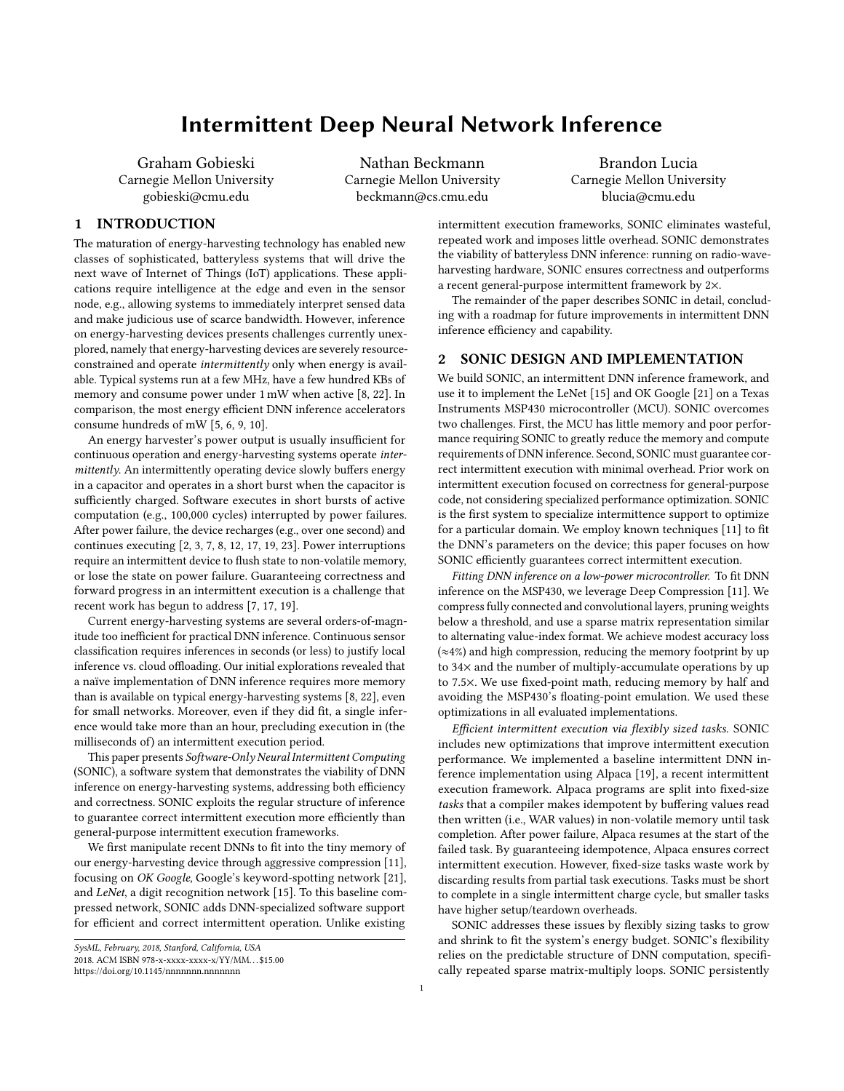# Intermittent Deep Neural Network Inference

Graham Gobieski Carnegie Mellon University gobieski@cmu.edu

Nathan Beckmann Carnegie Mellon University beckmann@cs.cmu.edu

Brandon Lucia Carnegie Mellon University blucia@cmu.edu

## 1 INTRODUCTION

The maturation of energy-harvesting technology has enabled new classes of sophisticated, batteryless systems that will drive the next wave of Internet of Things (IoT) applications. These applications require intelligence at the edge and even in the sensor node, e.g., allowing systems to immediately interpret sensed data and make judicious use of scarce bandwidth. However, inference on energy-harvesting devices presents challenges currently unexplored, namely that energy-harvesting devices are severely resourceconstrained and operate intermittently only when energy is available. Typical systems run at a few MHz, have a few hundred KBs of memory and consume power under 1 mW when active [\[8,](#page-2-0) [22\]](#page-2-1). In comparison, the most energy efficient DNN inference accelerators consume hundreds of mW [\[5,](#page-2-2) [6,](#page-2-3) [9,](#page-2-4) [10\]](#page-2-5).

An energy harvester's power output is usually insufficient for continuous operation and energy-harvesting systems operate intermittently. An intermittently operating device slowly buffers energy in a capacitor and operates in a short burst when the capacitor is sufficiently charged. Software executes in short bursts of active computation (e.g., 100,000 cycles) interrupted by power failures. After power failure, the device recharges (e.g., over one second) and continues executing [\[2,](#page-2-6) [3,](#page-2-7) [7,](#page-2-8) [8,](#page-2-0) [12,](#page-2-9) [17,](#page-2-10) [19,](#page-2-11) [23\]](#page-2-12). Power interruptions require an intermittent device to flush state to non-volatile memory, or lose the state on power failure. Guaranteeing correctness and forward progress in an intermittent execution is a challenge that recent work has begun to address [\[7,](#page-2-8) [17,](#page-2-10) [19\]](#page-2-11).

Current energy-harvesting systems are several orders-of-magnitude too inefficient for practical DNN inference. Continuous sensor classification requires inferences in seconds (or less) to justify local inference vs. cloud offloading. Our initial explorations revealed that a naïve implementation of DNN inference requires more memory than is available on typical energy-harvesting systems [\[8,](#page-2-0) [22\]](#page-2-1), even for small networks. Moreover, even if they did fit, a single inference would take more than an hour, precluding execution in (the milliseconds of) an intermittent execution period.

This paper presents Software-Only Neural Intermittent Computing (SONIC), a software system that demonstrates the viability of DNN inference on energy-harvesting systems, addressing both efficiency and correctness. SONIC exploits the regular structure of inference to guarantee correct intermittent execution more efficiently than general-purpose intermittent execution frameworks.

We first manipulate recent DNNs to fit into the tiny memory of our energy-harvesting device through aggressive compression [\[11\]](#page-2-13), focusing on OK Google, Google's keyword-spotting network [\[21\]](#page-2-14), and LeNet, a digit recognition network [\[15\]](#page-2-15). To this baseline compressed network, SONIC adds DNN-specialized software support for efficient and correct intermittent operation. Unlike existing

intermittent execution frameworks, SONIC eliminates wasteful, repeated work and imposes little overhead. SONIC demonstrates the viability of batteryless DNN inference: running on radio-waveharvesting hardware, SONIC ensures correctness and outperforms a recent general-purpose intermittent framework by 2×.

The remainder of the paper describes SONIC in detail, concluding with a roadmap for future improvements in intermittent DNN inference efficiency and capability.

### 2 SONIC DESIGN AND IMPLEMENTATION

We build SONIC, an intermittent DNN inference framework, and use it to implement the LeNet [\[15\]](#page-2-15) and OK Google [\[21\]](#page-2-14) on a Texas Instruments MSP430 microcontroller (MCU). SONIC overcomes two challenges. First, the MCU has little memory and poor performance requiring SONIC to greatly reduce the memory and compute requirements of DNN inference. Second, SONIC must guarantee correct intermittent execution with minimal overhead. Prior work on intermittent execution focused on correctness for general-purpose code, not considering specialized performance optimization. SONIC is the first system to specialize intermittence support to optimize for a particular domain. We employ known techniques [\[11\]](#page-2-13) to fit the DNN's parameters on the device; this paper focuses on how SONIC efficiently guarantees correct intermittent execution.

Fitting DNN inference on a low-power microcontroller. To fit DNN inference on the MSP430, we leverage Deep Compression [\[11\]](#page-2-13). We compress fully connected and convolutional layers, pruning weights below a threshold, and use a sparse matrix representation similar to alternating value-index format. We achieve modest accuracy loss (≈4%) and high compression, reducing the memory footprint by up to 34× and the number of multiply-accumulate operations by up to 7.5×. We use fixed-point math, reducing memory by half and avoiding the MSP430's floating-point emulation. We used these optimizations in all evaluated implementations.

Efficient intermittent execution via flexibly sized tasks. SONIC includes new optimizations that improve intermittent execution performance. We implemented a baseline intermittent DNN inference implementation using Alpaca [\[19\]](#page-2-11), a recent intermittent execution framework. Alpaca programs are split into fixed-size tasks that a compiler makes idempotent by buffering values read then written (i.e., WAR values) in non-volatile memory until task completion. After power failure, Alpaca resumes at the start of the failed task. By guaranteeing idempotence, Alpaca ensures correct intermittent execution. However, fixed-size tasks waste work by discarding results from partial task executions. Tasks must be short to complete in a single intermittent charge cycle, but smaller tasks have higher setup/teardown overheads.

SONIC addresses these issues by flexibly sizing tasks to grow and shrink to fit the system's energy budget. SONIC's flexibility relies on the predictable structure of DNN computation, specifically repeated sparse matrix-multiply loops. SONIC persistently

SysML, February, 2018, Stanford, California, USA 2018. ACM ISBN 978-x-xxxx-xxxx-x/YY/MM. . . \$15.00 <https://doi.org/10.1145/nnnnnnn.nnnnnnn>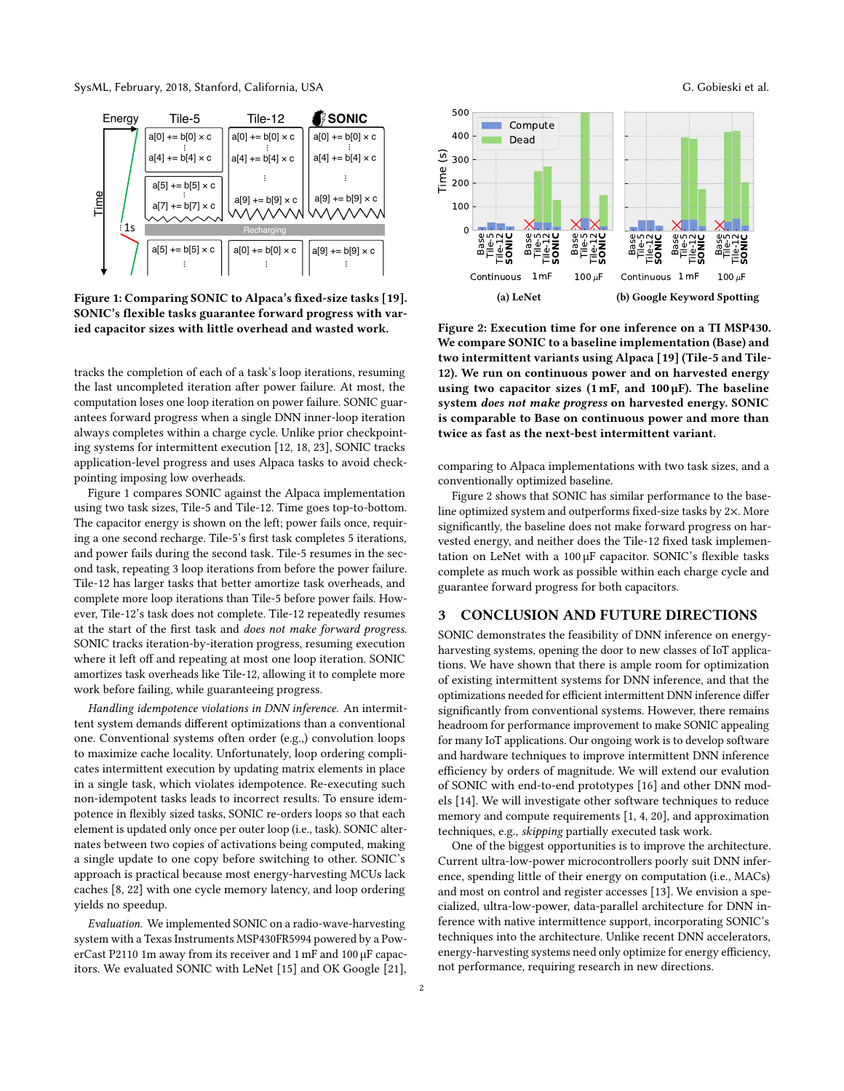SysML, February, 2018, Stanford, California, USA G. Gobieski et al.

<span id="page-1-0"></span>

Figure 1: Comparing SONIC to Alpaca's fixed-size tasks [\[19\]](#page-2-11). SONIC's flexible tasks guarantee forward progress with varied capacitor sizes with little overhead and wasted work.

tracks the completion of each of a task's loop iterations, resuming the last uncompleted iteration after power failure. At most, the computation loses one loop iteration on power failure. SONIC guarantees forward progress when a single DNN inner-loop iteration always completes within a charge cycle. Unlike prior checkpointing systems for intermittent execution [\[12,](#page-2-9) [18,](#page-2-16) [23\]](#page-2-12), SONIC tracks application-level progress and uses Alpaca tasks to avoid checkpointing imposing low overheads.

[Figure 1](#page-1-0) compares SONIC against the Alpaca implementation using two task sizes, Tile-5 and Tile-12. Time goes top-to-bottom. The capacitor energy is shown on the left; power fails once, requiring a one second recharge. Tile-5's first task completes 5 iterations, and power fails during the second task. Tile-5 resumes in the second task, repeating 3 loop iterations from before the power failure. Tile-12 has larger tasks that better amortize task overheads, and complete more loop iterations than Tile-5 before power fails. However, Tile-12's task does not complete. Tile-12 repeatedly resumes at the start of the first task and does not make forward progress. SONIC tracks iteration-by-iteration progress, resuming execution where it left off and repeating at most one loop iteration. SONIC amortizes task overheads like Tile-12, allowing it to complete more work before failing, while guaranteeing progress.

Handling idempotence violations in DNN inference. An intermittent system demands different optimizations than a conventional one. Conventional systems often order (e.g.,) convolution loops to maximize cache locality. Unfortunately, loop ordering complicates intermittent execution by updating matrix elements in place in a single task, which violates idempotence. Re-executing such non-idempotent tasks leads to incorrect results. To ensure idempotence in flexibly sized tasks, SONIC re-orders loops so that each element is updated only once per outer loop (i.e., task). SONIC alternates between two copies of activations being computed, making a single update to one copy before switching to other. SONIC's approach is practical because most energy-harvesting MCUs lack caches [\[8,](#page-2-0) [22\]](#page-2-1) with one cycle memory latency, and loop ordering yields no speedup.

Evaluation. We implemented SONIC on a radio-wave-harvesting system with a Texas Instruments MSP430FR5994 powered by a PowerCast P2110 1m away from its receiver and 1 mF and 100 µF capacitors. We evaluated SONIC with LeNet [\[15\]](#page-2-15) and OK Google [\[21\]](#page-2-14),

<span id="page-1-1"></span>

Figure 2: Execution time for one inference on a TI MSP430. We compare SONIC to a baseline implementation (Base) and two intermittent variants using Alpaca [\[19\]](#page-2-11) (Tile-5 and Tile-12). We run on continuous power and on harvested energy using two capacitor sizes  $(1 \text{ mF}, \text{ and } 100 \mu \text{F})$ . The baseline system does not make progress on harvested energy. SONIC is comparable to Base on continuous power and more than twice as fast as the next-best intermittent variant.

comparing to Alpaca implementations with two task sizes, and a conventionally optimized baseline.

[Figure 2](#page-1-1) shows that SONIC has similar performance to the baseline optimized system and outperforms fixed-size tasks by 2×. More significantly, the baseline does not make forward progress on harvested energy, and neither does the Tile-12 fixed task implementation on LeNet with a 100 µF capacitor. SONIC's flexible tasks complete as much work as possible within each charge cycle and guarantee forward progress for both capacitors.

#### 3 CONCLUSION AND FUTURE DIRECTIONS

SONIC demonstrates the feasibility of DNN inference on energyharvesting systems, opening the door to new classes of IoT applications. We have shown that there is ample room for optimization of existing intermittent systems for DNN inference, and that the optimizations needed for efficient intermittent DNN inference differ significantly from conventional systems. However, there remains headroom for performance improvement to make SONIC appealing for many IoT applications. Our ongoing work is to develop software and hardware techniques to improve intermittent DNN inference efficiency by orders of magnitude. We will extend our evalution of SONIC with end-to-end prototypes [\[16\]](#page-2-17) and other DNN models [\[14\]](#page-2-18). We will investigate other software techniques to reduce memory and compute requirements [\[1,](#page-2-19) [4,](#page-2-20) [20\]](#page-2-21), and approximation techniques, e.g., skipping partially executed task work.

One of the biggest opportunities is to improve the architecture. Current ultra-low-power microcontrollers poorly suit DNN inference, spending little of their energy on computation (i.e., MACs) and most on control and register accesses [\[13\]](#page-2-22). We envision a specialized, ultra-low-power, data-parallel architecture for DNN inference with native intermittence support, incorporating SONIC's techniques into the architecture. Unlike recent DNN accelerators, energy-harvesting systems need only optimize for energy efficiency, not performance, requiring research in new directions.